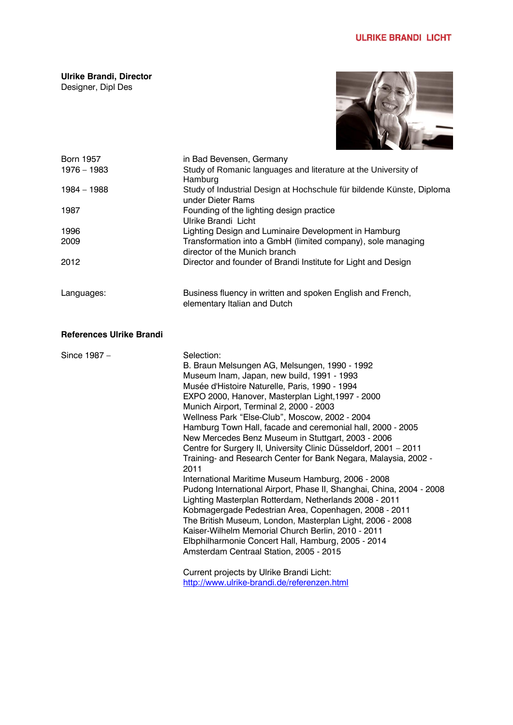**Ulrike Brandi, Director** Designer, Dipl Des



| <b>Born 1957</b> | in Bad Bevensen, Germany                                                                     |
|------------------|----------------------------------------------------------------------------------------------|
| $1976 - 1983$    | Study of Romanic languages and literature at the University of<br>Hamburg                    |
| 1984 – 1988      | Study of Industrial Design at Hochschule für bildende Künste, Diploma<br>under Dieter Rams   |
| 1987             | Founding of the lighting design practice                                                     |
|                  | Ulrike Brandi Licht                                                                          |
| 1996             | Lighting Design and Luminaire Development in Hamburg                                         |
| 2009             | Transformation into a GmbH (limited company), sole managing<br>director of the Munich branch |
| 2012             | Director and founder of Brandi Institute for Light and Design                                |
| Languages:       | Business fluency in written and spoken English and French,<br>elementary Italian and Dutch   |

## **References Ulrike Brandi**

| Since 1987 - | Selection:                                                           |
|--------------|----------------------------------------------------------------------|
|              | B. Braun Melsungen AG, Melsungen, 1990 - 1992                        |
|              | Museum Inam, Japan, new build, 1991 - 1993                           |
|              | Musée d'Histoire Naturelle, Paris, 1990 - 1994                       |
|              | EXPO 2000, Hanover, Masterplan Light, 1997 - 2000                    |
|              | Munich Airport, Terminal 2, 2000 - 2003                              |
|              | Wellness Park "Else-Club", Moscow, 2002 - 2004                       |
|              | Hamburg Town Hall, facade and ceremonial hall, 2000 - 2005           |
|              | New Mercedes Benz Museum in Stuttgart, 2003 - 2006                   |
|              | Centre for Surgery II, University Clinic Düsseldorf, 2001 - 2011     |
|              | Training- and Research Center for Bank Negara, Malaysia, 2002 -      |
|              | 2011                                                                 |
|              | International Maritime Museum Hamburg, 2006 - 2008                   |
|              | Pudong International Airport, Phase II, Shanghai, China, 2004 - 2008 |
|              | Lighting Masterplan Rotterdam, Netherlands 2008 - 2011               |
|              | Kobmagergade Pedestrian Area, Copenhagen, 2008 - 2011                |
|              | The British Museum, London, Masterplan Light, 2006 - 2008            |
|              | Kaiser-Wilhelm Memorial Church Berlin, 2010 - 2011                   |
|              | Elbphilharmonie Concert Hall, Hamburg, 2005 - 2014                   |
|              | Amsterdam Centraal Station, 2005 - 2015                              |
|              | Current projects by Ulrike Brandi Licht:                             |
|              | http://www.ulrike-brandi.de/referenzen.html                          |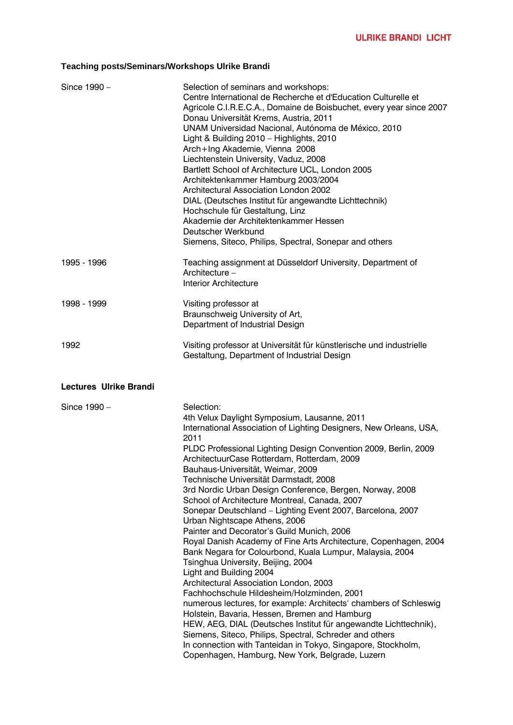## **Teaching posts/Seminars/Workshops Ulrike Brandi**

| Since 1990 -                  | Selection of seminars and workshops:<br>Centre International de Recherche et d'Education Culturelle et<br>Agricole C.I.R.E.C.A., Domaine de Boisbuchet, every year since 2007<br>Donau Universität Krems, Austria, 2011<br>UNAM Universidad Nacional, Autónoma de México, 2010<br>Light & Building 2010 - Highlights, 2010<br>Arch+Ing Akademie, Vienna 2008<br>Liechtenstein University, Vaduz, 2008<br>Bartlett School of Architecture UCL, London 2005<br>Architektenkammer Hamburg 2003/2004<br>Architectural Association London 2002<br>DIAL (Deutsches Institut für angewandte Lichttechnik)<br>Hochschule für Gestaltung, Linz<br>Akademie der Architektenkammer Hessen<br>Deutscher Werkbund<br>Siemens, Siteco, Philips, Spectral, Sonepar and others                                                                                                                                                                                                                                                                                                                                                                                                                                                                                                       |
|-------------------------------|----------------------------------------------------------------------------------------------------------------------------------------------------------------------------------------------------------------------------------------------------------------------------------------------------------------------------------------------------------------------------------------------------------------------------------------------------------------------------------------------------------------------------------------------------------------------------------------------------------------------------------------------------------------------------------------------------------------------------------------------------------------------------------------------------------------------------------------------------------------------------------------------------------------------------------------------------------------------------------------------------------------------------------------------------------------------------------------------------------------------------------------------------------------------------------------------------------------------------------------------------------------------|
| 1995 - 1996                   | Teaching assignment at Düsseldorf University, Department of<br>Architecture -<br><b>Interior Architecture</b>                                                                                                                                                                                                                                                                                                                                                                                                                                                                                                                                                                                                                                                                                                                                                                                                                                                                                                                                                                                                                                                                                                                                                        |
| 1998 - 1999                   | Visiting professor at<br>Braunschweig University of Art,<br>Department of Industrial Design                                                                                                                                                                                                                                                                                                                                                                                                                                                                                                                                                                                                                                                                                                                                                                                                                                                                                                                                                                                                                                                                                                                                                                          |
| 1992                          | Visiting professor at Universität für künstlerische und industrielle<br>Gestaltung, Department of Industrial Design                                                                                                                                                                                                                                                                                                                                                                                                                                                                                                                                                                                                                                                                                                                                                                                                                                                                                                                                                                                                                                                                                                                                                  |
| <b>Lectures Ulrike Brandi</b> |                                                                                                                                                                                                                                                                                                                                                                                                                                                                                                                                                                                                                                                                                                                                                                                                                                                                                                                                                                                                                                                                                                                                                                                                                                                                      |
| Since 1990 -                  | Selection:<br>4th Velux Daylight Symposium, Lausanne, 2011<br>International Association of Lighting Designers, New Orleans, USA,<br>2011<br>PLDC Professional Lighting Design Convention 2009, Berlin, 2009<br>ArchitectuurCase Rotterdam, Rotterdam, 2009<br>Bauhaus-Universität, Weimar, 2009<br>Technische Universität Darmstadt, 2008<br>3rd Nordic Urban Design Conference, Bergen, Norway, 2008<br>School of Architecture Montreal, Canada, 2007<br>Sonepar Deutschland - Lighting Event 2007, Barcelona, 2007<br>Urban Nightscape Athens, 2006<br>Painter and Decorator's Guild Munich, 2006<br>Royal Danish Academy of Fine Arts Architecture, Copenhagen, 2004<br>Bank Negara for Colourbond, Kuala Lumpur, Malaysia, 2004<br>Tsinghua University, Beijing, 2004<br>Light and Building 2004<br>Architectural Association London, 2003<br>Fachhochschule Hildesheim/Holzminden, 2001<br>numerous lectures, for example: Architects' chambers of Schleswig<br>Holstein, Bavaria, Hessen, Bremen and Hamburg<br>HEW, AEG, DIAL (Deutsches Institut für angewandte Lichttechnik),<br>Siemens, Siteco, Philips, Spectral, Schreder and others<br>In connection with Tanteidan in Tokyo, Singapore, Stockholm,<br>Copenhagen, Hamburg, New York, Belgrade, Luzern |